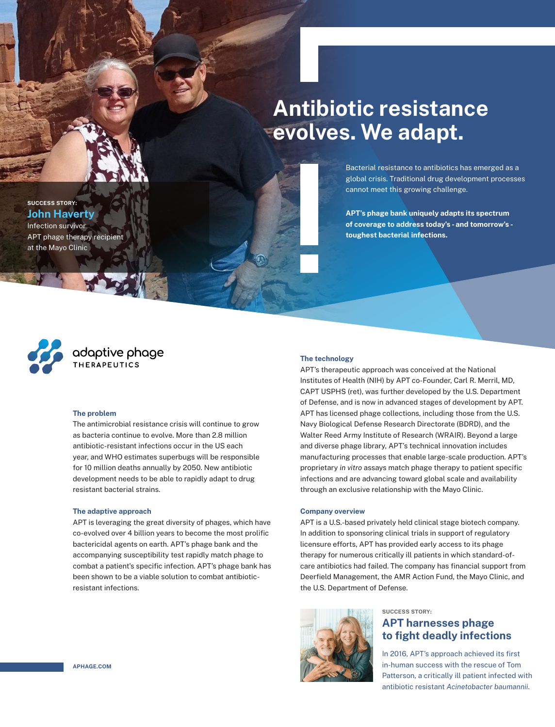## **Antibiotic resistance evolves. We adapt.**

Bacterial resistance to antibiotics has emerged as a global crisis. Traditional drug development processes cannot meet this growing challenge.

**APT's phage bank uniquely adapts its spectrum of coverage to address today's - and tomorrow's toughest bacterial infections.**



**SUCCESS STORY: John Haverty** Infection survivor

at the Mayo Clinic

APT phage therapy recipient

# **adaptive phage**

#### **The problem**

The antimicrobial resistance crisis will continue to grow as bacteria continue to evolve. More than 2.8 million antibiotic-resistant infections occur in the US each year, and WHO estimates superbugs will be responsible for 10 million deaths annually by 2050. New antibiotic development needs to be able to rapidly adapt to drug resistant bacterial strains.

#### **The adaptive approach**

APT is leveraging the great diversity of phages, which have co-evolved over 4 billion years to become the most prolific bactericidal agents on earth. APT's phage bank and the accompanying susceptibility test rapidly match phage to combat a patient's specific infection. APT's phage bank has been shown to be a viable solution to combat antibioticresistant infections.

### **The technology**

APT's therapeutic approach was conceived at the National Institutes of Health (NIH) by APT co-Founder, Carl R. Merril, MD, CAPT USPHS (ret), was further developed by the U.S. Department of Defense, and is now in advanced stages of development by APT. APT has licensed phage collections, including those from the U.S. Navy Biological Defense Research Directorate (BDRD), and the Walter Reed Army Institute of Research (WRAIR). Beyond a large and diverse phage library, APT's technical innovation includes manufacturing processes that enable large-scale production. APT's proprietary *in vitro* assays match phage therapy to patient specific infections and are advancing toward global scale and availability through an exclusive relationship with the Mayo Clinic.

#### **Company overview**

APT is a U.S.-based privately held clinical stage biotech company. In addition to sponsoring clinical trials in support of regulatory licensure efforts, APT has provided early access to its phage therapy for numerous critically ill patients in which standard-ofcare antibiotics had failed. The company has financial support from Deerfield Management, the AMR Action Fund, the Mayo Clinic, and the U.S. Department of Defense.



## **SUCCESS STORY:**

## **APT harnesses phage to fight deadly infections**

In 2016, APT's approach achieved its first in-human success with the rescue of Tom Patterson, a critically ill patient infected with antibiotic resistant *Acinetobacter baumannii*.